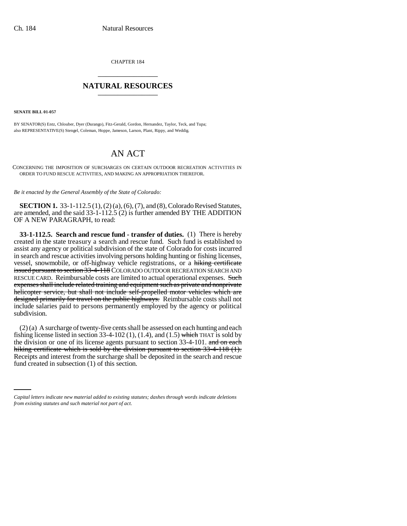CHAPTER 184 \_\_\_\_\_\_\_\_\_\_\_\_\_\_\_

## **NATURAL RESOURCES** \_\_\_\_\_\_\_\_\_\_\_\_\_\_\_

**SENATE BILL 01-057**

BY SENATOR(S) Entz, Chlouber, Dyer (Durango), Fitz-Gerald, Gordon, Hernandez, Taylor, Teck, and Tupa; also REPRESENTATIVE(S) Stengel, Coleman, Hoppe, Jameson, Larson, Plant, Rippy, and Weddig.

## AN ACT

CONCERNING THE IMPOSITION OF SURCHARGES ON CERTAIN OUTDOOR RECREATION ACTIVITIES IN ORDER TO FUND RESCUE ACTIVITIES, AND MAKING AN APPROPRIATION THEREFOR.

*Be it enacted by the General Assembly of the State of Colorado:*

**SECTION 1.** 33-1-112.5 (1), (2) (a), (6), (7), and (8), Colorado Revised Statutes, are amended, and the said 33-1-112.5 (2) is further amended BY THE ADDITION OF A NEW PARAGRAPH, to read:

**33-1-112.5. Search and rescue fund - transfer of duties.** (1) There is hereby created in the state treasury a search and rescue fund. Such fund is established to assist any agency or political subdivision of the state of Colorado for costs incurred in search and rescue activities involving persons holding hunting or fishing licenses, vessel, snowmobile, or off-highway vehicle registrations, or a hiking certificate issued pursuant to section 33-4-118 COLORADO OUTDOOR RECREATION SEARCH AND RESCUE CARD. Reimbursable costs are limited to actual operational expenses. Such expenses shall include related training and equipment such as private and nonprivate helicopter service, but shall not include self-propelled motor vehicles which are designed primarily for travel on the public highways. Reimbursable costs shall not include salaries paid to persons permanently employed by the agency or political subdivision.

Receipts and interest from the surcharge shall be deposited in the search and rescue (2) (a) A surcharge of twenty-five cents shall be assessed on each hunting and each fishing license listed in section 33-4-102 (1), (1.4), and (1.5) which THAT is sold by the division or one of its license agents pursuant to section 33-4-101. and on each hiking certificate which is sold by the division pursuant to section 33-4-118 (1). fund created in subsection (1) of this section.

*Capital letters indicate new material added to existing statutes; dashes through words indicate deletions from existing statutes and such material not part of act.*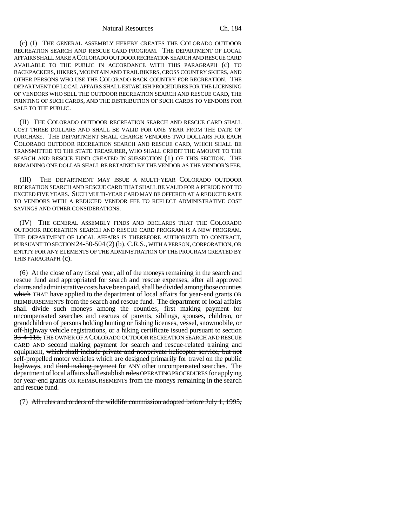(c) (I) THE GENERAL ASSEMBLY HEREBY CREATES THE COLORADO OUTDOOR RECREATION SEARCH AND RESCUE CARD PROGRAM. THE DEPARTMENT OF LOCAL AFFAIRS SHALL MAKE A COLORADO OUTDOOR RECREATION SEARCH AND RESCUE CARD AVAILABLE TO THE PUBLIC IN ACCORDANCE WITH THIS PARAGRAPH (c) TO BACKPACKERS, HIKERS, MOUNTAIN AND TRAIL BIKERS, CROSS COUNTRY SKIERS, AND OTHER PERSONS WHO USE THE COLORADO BACK COUNTRY FOR RECREATION. THE DEPARTMENT OF LOCAL AFFAIRS SHALL ESTABLISH PROCEDURES FOR THE LICENSING OF VENDORS WHO SELL THE OUTDOOR RECREATION SEARCH AND RESCUE CARD, THE PRINTING OF SUCH CARDS, AND THE DISTRIBUTION OF SUCH CARDS TO VENDORS FOR SALE TO THE PUBLIC.

(II) THE COLORADO OUTDOOR RECREATION SEARCH AND RESCUE CARD SHALL COST THREE DOLLARS AND SHALL BE VALID FOR ONE YEAR FROM THE DATE OF PURCHASE. THE DEPARTMENT SHALL CHARGE VENDORS TWO DOLLARS FOR EACH COLORADO OUTDOOR RECREATION SEARCH AND RESCUE CARD, WHICH SHALL BE TRANSMITTED TO THE STATE TREASURER, WHO SHALL CREDIT THE AMOUNT TO THE SEARCH AND RESCUE FUND CREATED IN SUBSECTION (1) OF THIS SECTION. THE REMAINING ONE DOLLAR SHALL BE RETAINED BY THE VENDOR AS THE VENDOR'S FEE.

(III) THE DEPARTMENT MAY ISSUE A MULTI-YEAR COLORADO OUTDOOR RECREATION SEARCH AND RESCUE CARD THAT SHALL BE VALID FOR A PERIOD NOT TO EXCEED FIVE YEARS. SUCH MULTI-YEAR CARD MAY BE OFFERED AT A REDUCED RATE TO VENDORS WITH A REDUCED VENDOR FEE TO REFLECT ADMINISTRATIVE COST SAVINGS AND OTHER CONSIDERATIONS.

(IV) THE GENERAL ASSEMBLY FINDS AND DECLARES THAT THE COLORADO OUTDOOR RECREATION SEARCH AND RESCUE CARD PROGRAM IS A NEW PROGRAM. THE DEPARTMENT OF LOCAL AFFAIRS IS THEREFORE AUTHORIZED TO CONTRACT, PURSUANT TO SECTION 24-50-504 (2) (b), C.R.S., WITH A PERSON, CORPORATION, OR ENTITY FOR ANY ELEMENTS OF THE ADMINISTRATION OF THE PROGRAM CREATED BY THIS PARAGRAPH (c).

(6) At the close of any fiscal year, all of the moneys remaining in the search and rescue fund and appropriated for search and rescue expenses, after all approved claims and administrative costs have been paid, shall be divided among those counties which THAT have applied to the department of local affairs for year-end grants OR REIMBURSEMENTS from the search and rescue fund. The department of local affairs shall divide such moneys among the counties, first making payment for uncompensated searches and rescues of parents, siblings, spouses, children, or grandchildren of persons holding hunting or fishing licenses, vessel, snowmobile, or off-highway vehicle registrations, or a hiking certificate issued pursuant to section 33-4-118, THE OWNER OF A COLORADO OUTDOOR RECREATION SEARCH AND RESCUE CARD AND second making payment for search and rescue-related training and equipment, which shall include private and nonprivate helicopter service, but not self-propelled motor vehicles which are designed primarily for travel on the public highways, and third making payment for ANY other uncompensated searches. The department of local affairs shall establish rules OPERATING PROCEDURES for applying for year-end grants OR REIMBURSEMENTS from the moneys remaining in the search and rescue fund.

(7) All rules and orders of the wildlife commission adopted before July 1, 1995,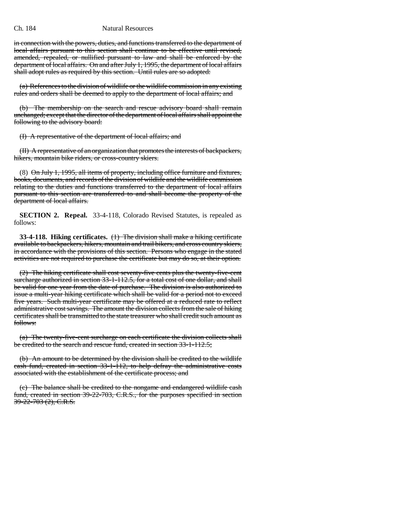## Ch. 184 Natural Resources

in connection with the powers, duties, and functions transferred to the department of local affairs pursuant to this section shall continue to be effective until revised, amended, repealed, or nullified pursuant to law and shall be enforced by the department of local affairs. On and after July 1, 1995, the department of local affairs shall adopt rules as required by this section. Until rules are so adopted:

(a) References to the division of wildlife or the wildlife commission in any existing rules and orders shall be deemed to apply to the department of local affairs; and

(b) The membership on the search and rescue advisory board shall remain unchanged; except that the director of the department of local affairs shall appoint the following to the advisory board:

(I) A representative of the department of local affairs; and

(II) A representative of an organization that promotes the interests of backpackers, hikers, mountain bike riders, or cross-country skiers.

(8) On July 1, 1995, all items of property, including office furniture and fixtures, books, documents, and records of the division of wildlife and the wildlife commission relating to the duties and functions transferred to the department of local affairs pursuant to this section are transferred to and shall become the property of the department of local affairs.

**SECTION 2. Repeal.** 33-4-118, Colorado Revised Statutes, is repealed as follows:

**33-4-118. Hiking certificates.** (1) The division shall make a hiking certificate available to backpackers, hikers, mountain and trail bikers, and cross country skiers, in accordance with the provisions of this section. Persons who engage in the stated activities are not required to purchase the certificate but may do so, at their option.

(2) The hiking certificate shall cost seventy-five cents plus the twenty-five-cent surcharge authorized in section 33-1-112.5, for a total cost of one dollar, and shall be valid for one year from the date of purchase. The division is also authorized to issue a multi-year hiking certificate which shall be valid for a period not to exceed five years. Such multi-year certificate may be offered at a reduced rate to reflect administrative cost savings. The amount the division collects from the sale of hiking certificates shall be transmitted to the state treasurer who shall credit such amount as follows:

(a) The twenty-five-cent surcharge on each certificate the division collects shall be credited to the search and rescue fund, created in section 33-1-112.5;

(b) An amount to be determined by the division shall be credited to the wildlife cash fund, created in section 33-1-112, to help defray the administrative costs associated with the establishment of the certificate process; and

(c) The balance shall be credited to the nongame and endangered wildlife cash fund, created in section 39-22-703, C.R.S., for the purposes specified in section 39-22-703 (2), C.R.S.